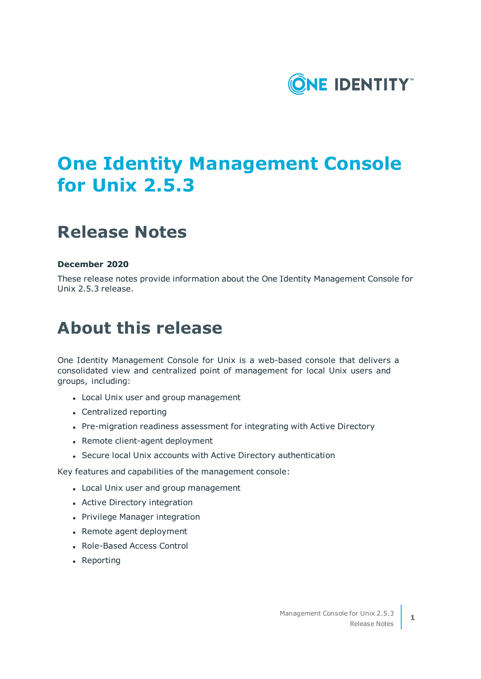

# **One Identity Management Console for Unix 2.5.3**

## **Release Notes**

#### **December 2020**

These release notes provide information about the One Identity Management Console for Unix 2.5.3 release.

## **About this release**

One Identity Management Console for Unix is a web-based console that delivers a consolidated view and centralized point of management for local Unix users and groups, including:

- Local Unix user and group management
- Centralized reporting
- Pre-migration readiness assessment for integrating with Active Directory
- Remote client-agent deployment
- Secure local Unix accounts with Active Directory authentication

Key features and capabilities of the management console:

- Local Unix user and group management
- Active Directory integration
- Privilege Manager integration
- Remote agent deployment
- Role-Based Access Control
- Reporting

**1**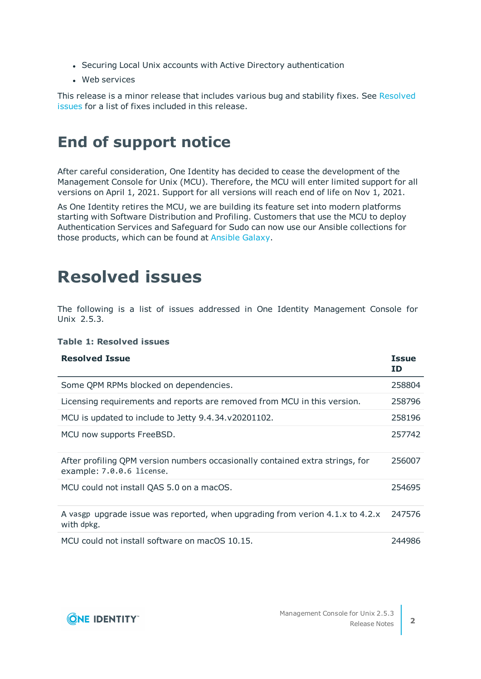- Securing Local Unix accounts with Active Directory authentication
- Web services

This release is a minor release that includes various bug and stability fixes. See [Resolved](#page-1-0) [issues](#page-1-0) for a list of fixes included in this release.

### **End of support notice**

After careful consideration, One Identity has decided to cease the development of the Management Console for Unix (MCU). Therefore, the MCU will enter limited support for all versions on April 1, 2021. Support for all versions will reach end of life on Nov 1, 2021.

As One Identity retires the MCU, we are building its feature set into modern platforms starting with Software Distribution and Profiling. Customers that use the MCU to deploy Authentication Services and Safeguard for Sudo can now use our Ansible collections for those products, which can be found at [Ansible](https://galaxy.ansible.com/search?deprecated=false&keywords=%22oneidentity%22&order_by=-relevance&page=1) Galaxy.

### <span id="page-1-0"></span>**Resolved issues**

The following is a list of issues addressed in One Identity Management Console for Unix 2.5.3.

#### **Table 1: Resolved issues**

| <b>Resolved Issue</b>                                                                                      | <b>Issue</b><br>ID |
|------------------------------------------------------------------------------------------------------------|--------------------|
| Some QPM RPMs blocked on dependencies.                                                                     | 258804             |
| Licensing requirements and reports are removed from MCU in this version.                                   | 258796             |
| MCU is updated to include to Jetty 9.4.34.v20201102.                                                       | 258196             |
| MCU now supports FreeBSD.                                                                                  | 257742             |
| After profiling QPM version numbers occasionally contained extra strings, for<br>example: 7.0.0.6 license. | 256007             |
| MCU could not install QAS 5.0 on a macOS.                                                                  | 254695             |
| A vasgp upgrade issue was reported, when upgrading from verion 4.1.x to 4.2.x<br>with dpkg.                | 247576             |
| MCU could not install software on macOS 10.15.                                                             | 244986             |

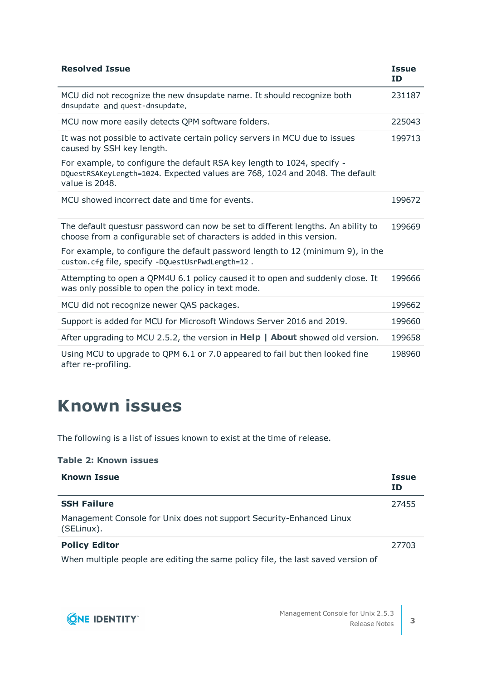| <b>Resolved Issue</b>                                                                                                                                                     | <b>Issue</b><br><b>ID</b> |
|---------------------------------------------------------------------------------------------------------------------------------------------------------------------------|---------------------------|
| MCU did not recognize the new dnsupdate name. It should recognize both<br>dnsupdate and quest-dnsupdate.                                                                  | 231187                    |
| MCU now more easily detects QPM software folders.                                                                                                                         | 225043                    |
| It was not possible to activate certain policy servers in MCU due to issues<br>caused by SSH key length.                                                                  | 199713                    |
| For example, to configure the default RSA key length to 1024, specify -<br>DQuestRSAKeyLength=1024. Expected values are 768, 1024 and 2048. The default<br>value is 2048. |                           |
| MCU showed incorrect date and time for events.                                                                                                                            | 199672                    |
| The default questusr password can now be set to different lengths. An ability to<br>choose from a configurable set of characters is added in this version.                | 199669                    |
| For example, to configure the default password length to 12 (minimum 9), in the<br>custom.cfg file, specify -DQuestUsrPwdLength=12.                                       |                           |
| Attempting to open a QPM4U 6.1 policy caused it to open and suddenly close. It<br>was only possible to open the policy in text mode.                                      | 199666                    |
| MCU did not recognize newer QAS packages.                                                                                                                                 | 199662                    |
| Support is added for MCU for Microsoft Windows Server 2016 and 2019.                                                                                                      | 199660                    |
| After upgrading to MCU 2.5.2, the version in Help   About showed old version.                                                                                             | 199658                    |
| Using MCU to upgrade to QPM 6.1 or 7.0 appeared to fail but then looked fine<br>after re-profiling.                                                                       | 198960                    |

## **Known issues**

The following is a list of issues known to exist at the time of release.

#### **Table 2: Known issues**

| <b>Known Issue</b>                                                                 | <b>Issue</b><br><b>ID</b> |
|------------------------------------------------------------------------------------|---------------------------|
| <b>SSH Failure</b>                                                                 | 27455                     |
| Management Console for Unix does not support Security-Enhanced Linux<br>(SELinux). |                           |
| <b>Policy Editor</b>                                                               | 27703                     |
| When multiple people are editing the same policy file, the last saved version of   |                           |

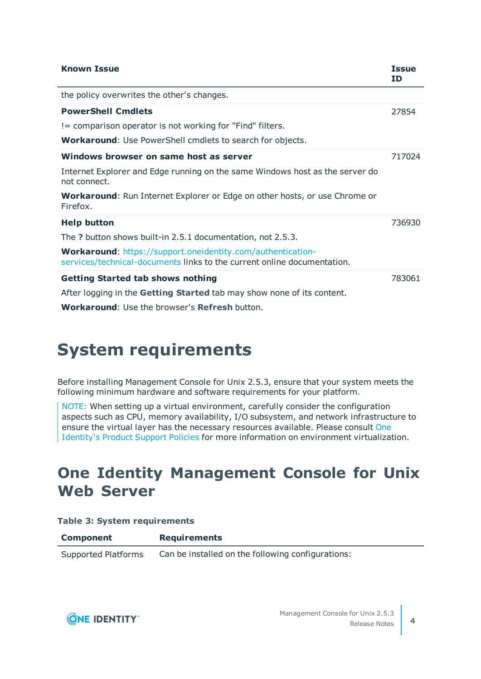| <b>Known Issue</b>                                                                                                                                                                | <b>Issue</b><br>ID |
|-----------------------------------------------------------------------------------------------------------------------------------------------------------------------------------|--------------------|
| the policy overwrites the other's changes.                                                                                                                                        |                    |
| <b>PowerShell Cmdlets</b>                                                                                                                                                         | 27854              |
| != comparison operator is not working for "Find" filters.                                                                                                                         |                    |
| <b>Workaround:</b> Use PowerShell cmdlets to search for objects.                                                                                                                  |                    |
| Windows browser on same host as server                                                                                                                                            | 717024             |
| Internet Explorer and Edge running on the same Windows host as the server do<br>not connect.                                                                                      |                    |
| <b>Workaround:</b> Run Internet Explorer or Edge on other hosts, or use Chrome or<br>Firefox.                                                                                     |                    |
| <b>Help button</b>                                                                                                                                                                | 736930             |
| The ? button shows built-in 2.5.1 documentation, not 2.5.3.                                                                                                                       |                    |
| Workaround: https://support.oneidentity.com/authentication-<br>services/technical-documents links to the current online documentation.                                            |                    |
| <b>Getting Started tab shows nothing</b><br>After logging in the Getting Started tab may show none of its content.<br><b>Workaround:</b> Use the browser's <b>Refresh</b> button. | 783061             |

# **System requirements**

Before installing Management Console for Unix 2.5.3, ensure that your system meets the following minimum hardware and software requirements for your platform.

NOTE: When setting up a virtual environment, carefully consider the configuration aspects such as CPU, memory availability, I/O subsystem, and network infrastructure to ensure the virtual layer has the necessary resources available. Please consult [One](https://support.oneidentity.com/essentials/support-guide#tab3) [Identity's](https://support.oneidentity.com/essentials/support-guide#tab3) Product Support Policies for more information on environment virtualization.

### **One Identity Management Console for Unix Web Server**

#### **Table 3: System requirements**

| <b>Component</b>    | <b>Requirements</b>                               |
|---------------------|---------------------------------------------------|
| Supported Platforms | Can be installed on the following configurations: |

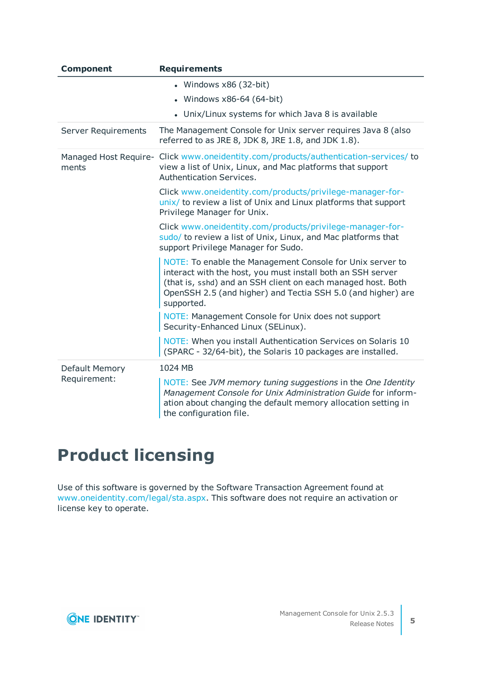| <b>Component</b>               | <b>Requirements</b>                                                                                                                                                                                                                                                    |
|--------------------------------|------------------------------------------------------------------------------------------------------------------------------------------------------------------------------------------------------------------------------------------------------------------------|
|                                | • Windows $x86$ (32-bit)                                                                                                                                                                                                                                               |
|                                | Windows x86-64 (64-bit)                                                                                                                                                                                                                                                |
|                                | • Unix/Linux systems for which Java 8 is available                                                                                                                                                                                                                     |
| Server Requirements            | The Management Console for Unix server requires Java 8 (also<br>referred to as JRE 8, JDK 8, JRE 1.8, and JDK 1.8).                                                                                                                                                    |
| Managed Host Require-<br>ments | Click www.oneidentity.com/products/authentication-services/ to<br>view a list of Unix, Linux, and Mac platforms that support<br>Authentication Services.                                                                                                               |
|                                | Click www.oneidentity.com/products/privilege-manager-for-<br>unix/ to review a list of Unix and Linux platforms that support<br>Privilege Manager for Unix.                                                                                                            |
|                                | Click www.oneidentity.com/products/privilege-manager-for-<br>sudo/ to review a list of Unix, Linux, and Mac platforms that<br>support Privilege Manager for Sudo.                                                                                                      |
|                                | NOTE: To enable the Management Console for Unix server to<br>interact with the host, you must install both an SSH server<br>(that is, sshd) and an SSH client on each managed host. Both<br>OpenSSH 2.5 (and higher) and Tectia SSH 5.0 (and higher) are<br>supported. |
|                                | NOTE: Management Console for Unix does not support<br>Security-Enhanced Linux (SELinux).                                                                                                                                                                               |
|                                | NOTE: When you install Authentication Services on Solaris 10<br>(SPARC - 32/64-bit), the Solaris 10 packages are installed.                                                                                                                                            |
| Default Memory<br>Requirement: | 1024 MB                                                                                                                                                                                                                                                                |
|                                | NOTE: See JVM memory tuning suggestions in the One Identity<br>Management Console for Unix Administration Guide for inform-<br>ation about changing the default memory allocation setting in<br>the configuration file.                                                |

## **Product licensing**

Use of this software is governed by the Software Transaction Agreement found at [www.oneidentity.com/legal/sta.aspx](http://www.oneidentity.com/legal/sta.aspx). This software does not require an activation or license key to operate.

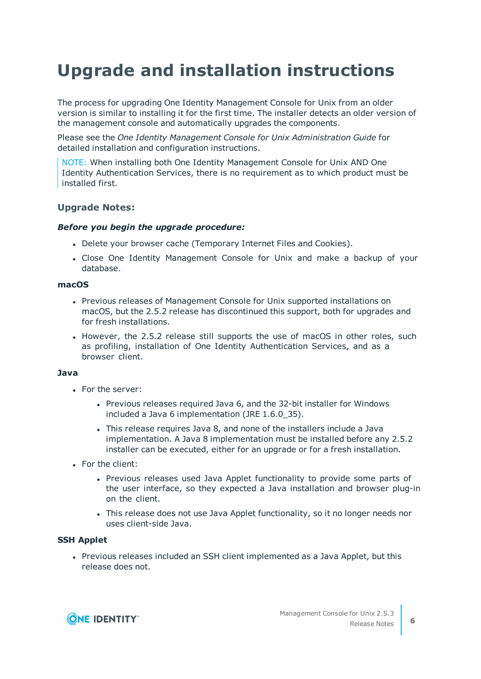# **Upgrade and installation instructions**

The process for upgrading One Identity Management Console for Unix from an older version is similar to installing it for the first time. The installer detects an older version of the management console and automatically upgrades the components.

Please see the *One Identity Management Console for Unix Administration Guide* for detailed installation and configuration instructions.

NOTE: When installing both One Identity Management Console for Unix AND One Identity Authentication Services, there is no requirement as to which product must be installed first.

#### **Upgrade Notes:**

#### *Before you begin the upgrade procedure:*

- Delete your browser cache (Temporary Internet Files and Cookies).
- Close One Identity Management Console for Unix and make a backup of your database.

#### **macOS**

- Previous releases of Management Console for Unix supported installations on macOS, but the 2.5.2 release has discontinued this support, both for upgrades and for fresh installations.
- However, the 2.5.2 release still supports the use of macOS in other roles, such as profiling, installation of One Identity Authentication Services, and as a browser client.

#### **Java**

- For the server:
	- Previous releases required Java 6, and the 32-bit installer for Windows included a Java 6 implementation (JRE 1.6.0\_35).
	- This release requires Java 8, and none of the installers include a Java implementation. A Java 8 implementation must be installed before any 2.5.2 installer can be executed, either for an upgrade or for a fresh installation.
- For the client:
	- Previous releases used Java Applet functionality to provide some parts of the user interface, so they expected a Java installation and browser plug-in on the client.
	- This release does not use Java Applet functionality, so it no longer needs nor uses client-side Java.

#### **SSH Applet**

• Previous releases included an SSH client implemented as a Java Applet, but this release does not.

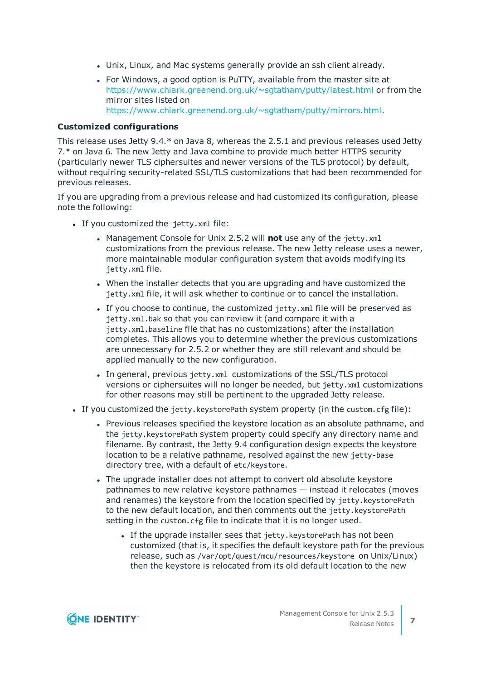- Unix, Linux, and Mac systems generally provide an ssh client already.
- For Windows, a good option is PuTTY, available from the master site at <https://www.chiark.greenend.org.uk/~sgtatham/putty/latest.html> or from the mirror sites listed on <https://www.chiark.greenend.org.uk/~sgtatham/putty/mirrors.html>.

#### **Customized configurations**

This release uses Jetty 9.4.\* on Java 8, whereas the 2.5.1 and previous releases used Jetty 7.\* on Java 6. The new Jetty and Java combine to provide much better HTTPS security (particularly newer TLS ciphersuites and newer versions of the TLS protocol) by default, without requiring security-related SSL/TLS customizations that had been recommended for previous releases.

If you are upgrading from a previous release and had customized its configuration, please note the following:

- If you customized the jetty.xml file:
	- Management Console for Unix 2.5.2 will **not** use any of the jetty.xml customizations from the previous release. The new Jetty release uses a newer, more maintainable modular configuration system that avoids modifying its jetty.xml file.
	- When the installer detects that you are upgrading and have customized the jetty.xml file, it will ask whether to continue or to cancel the installation.
	- If you choose to continue, the customized jetty.xml file will be preserved as jetty.xml.bak so that you can review it (and compare it with a jetty.xml.baseline file that has no customizations) after the installation completes. This allows you to determine whether the previous customizations are unnecessary for 2.5.2 or whether they are still relevant and should be applied manually to the new configuration.
	- In general, previous jetty.xml customizations of the SSL/TLS protocol versions or ciphersuites will no longer be needed, but jetty.xml customizations for other reasons may still be pertinent to the upgraded Jetty release.
- If you customized the jetty.keystorePath system property (in the custom.cfg file):
	- Previous releases specified the keystore location as an absolute pathname, and the jetty.keystorePath system property could specify any directory name and filename. By contrast, the Jetty 9.4 configuration design expects the keystore location to be a relative pathname, resolved against the new jetty-base directory tree, with a default of etc/keystore.
	- The upgrade installer does not attempt to convert old absolute keystore pathnames to new relative keystore pathnames — instead it relocates (moves and renames) the keystore from the location specified by jetty.keystorePath to the new default location, and then comments out the jetty.keystorePath setting in the custom.cfg file to indicate that it is no longer used.
		- If the upgrade installer sees that jetty.keystorePath has not been customized (that is, it specifies the default keystore path for the previous release, such as /var/opt/quest/mcu/resources/keystore on Unix/Linux) then the keystore is relocated from its old default location to the new

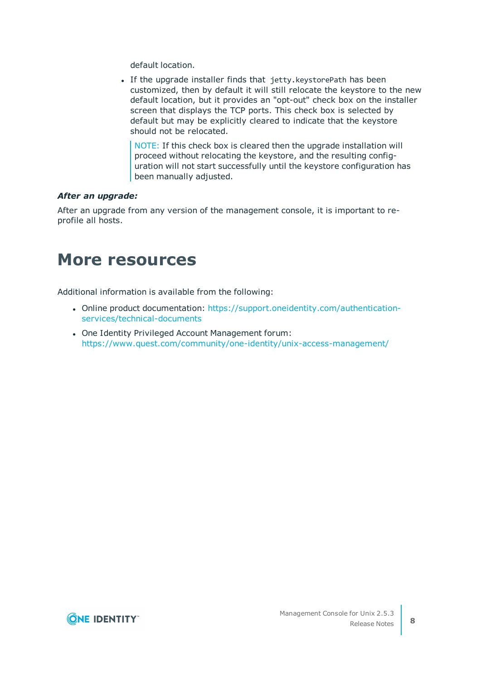default location.

• If the upgrade installer finds that jetty.keystorePath has been customized, then by default it will still relocate the keystore to the new default location, but it provides an "opt-out" check box on the installer screen that displays the TCP ports. This check box is selected by default but may be explicitly cleared to indicate that the keystore should not be relocated.

NOTE: If this check box is cleared then the upgrade installation will proceed without relocating the keystore, and the resulting configuration will not start successfully until the keystore configuration has been manually adjusted.

#### *After an upgrade:*

After an upgrade from any version of the management console, it is important to reprofile all hosts.

### **More resources**

Additional information is available from the following:

- Online product documentation: [https://support.oneidentity.com/authentication](https://support.oneidentity.com/authentication-services/technical-documents)[services/technical-documents](https://support.oneidentity.com/authentication-services/technical-documents)
- One Identity Privileged Account Management forum: <https://www.quest.com/community/one-identity/unix-access-management/>

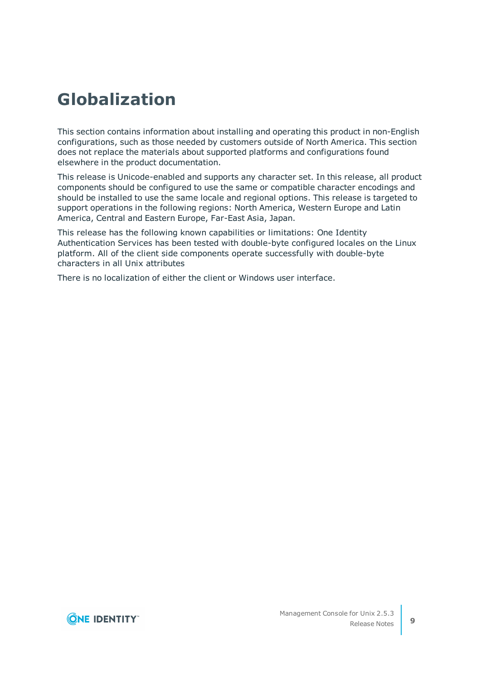## **Globalization**

This section contains information about installing and operating this product in non-English configurations, such as those needed by customers outside of North America. This section does not replace the materials about supported platforms and configurations found elsewhere in the product documentation.

This release is Unicode-enabled and supports any character set. In this release, all product components should be configured to use the same or compatible character encodings and should be installed to use the same locale and regional options. This release is targeted to support operations in the following regions: North America, Western Europe and Latin America, Central and Eastern Europe, Far-East Asia, Japan.

This release has the following known capabilities or limitations: One Identity Authentication Services has been tested with double-byte configured locales on the Linux platform. All of the client side components operate successfully with double-byte characters in all Unix attributes

There is no localization of either the client or Windows user interface.

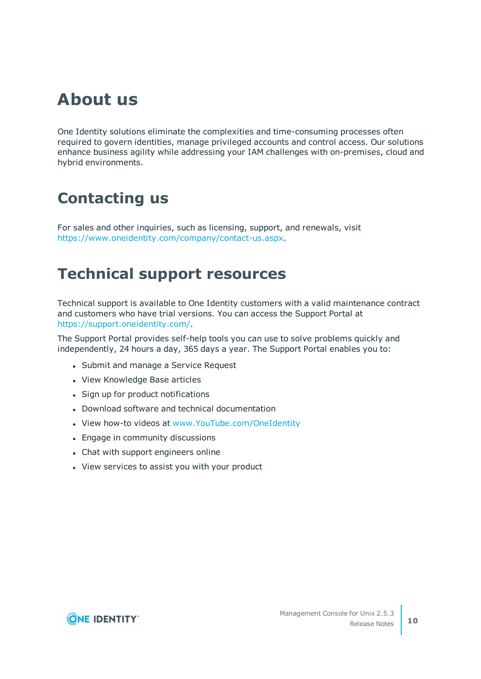## **About us**

One Identity solutions eliminate the complexities and time-consuming processes often required to govern identities, manage privileged accounts and control access. Our solutions enhance business agility while addressing your IAM challenges with on-premises, cloud and hybrid environments.

### **Contacting us**

For sales and other inquiries, such as licensing, support, and renewals, visit <https://www.oneidentity.com/company/contact-us.aspx>.

### **Technical support resources**

Technical support is available to One Identity customers with a valid maintenance contract and customers who have trial versions. You can access the Support Portal at [https://support.oneidentity.com/.](https://support.oneidentity.com/)

The Support Portal provides self-help tools you can use to solve problems quickly and independently, 24 hours a day, 365 days a year. The Support Portal enables you to:

- Submit and manage a Service Request
- View Knowledge Base articles
- Sign up for product notifications
- Download software and technical documentation
- View how-to videos at [www.YouTube.com/OneIdentity](http://www.youtube.com/OneIdentity)
- Engage in community discussions
- Chat with support engineers online
- View services to assist you with your product